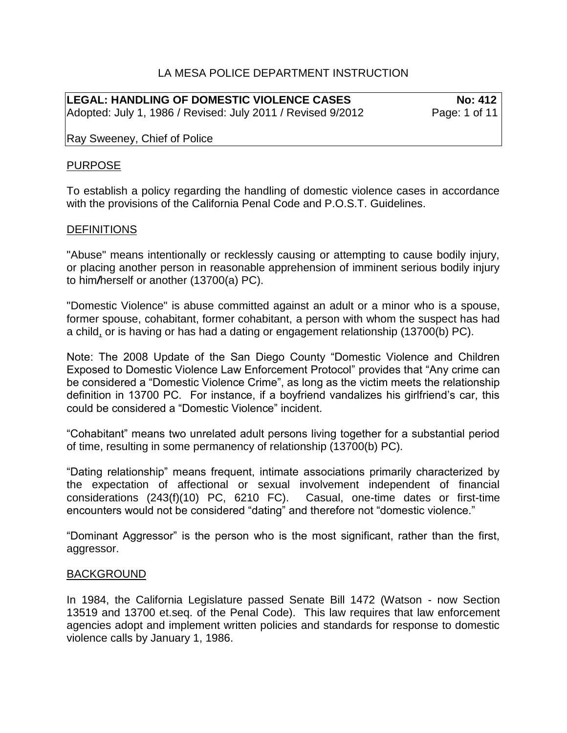## LA MESA POLICE DEPARTMENT INSTRUCTION

LEGAL: HANDLING OF DOMESTIC VIOLENCE CASES No: 412 Adopted: July 1, 1986 / Revised: July 2011 / Revised 9/2012 Page: 1 of 11

Ray Sweeney, Chief of Police

#### PURPOSE

To establish a policy regarding the handling of domestic violence cases in accordance with the provisions of the California Penal Code and P.O.S.T. Guidelines.

#### **DEFINITIONS**

"Abuse" means intentionally or recklessly causing or attempting to cause bodily injury, or placing another person in reasonable apprehension of imminent serious bodily injury to him*/*herself or another (13700(a) PC).

"Domestic Violence" is abuse committed against an adult or a minor who is a spouse, former spouse, cohabitant, former cohabitant, a person with whom the suspect has had a child, or is having or has had a dating or engagement relationship (13700(b) PC).

Note: The 2008 Update of the San Diego County "Domestic Violence and Children Exposed to Domestic Violence Law Enforcement Protocol" provides that "Any crime can be considered a "Domestic Violence Crime", as long as the victim meets the relationship definition in 13700 PC. For instance, if a boyfriend vandalizes his girlfriend's car, this could be considered a "Domestic Violence" incident.

"Cohabitant" means two unrelated adult persons living together for a substantial period of time, resulting in some permanency of relationship (13700(b) PC).

"Dating relationship" means frequent, intimate associations primarily characterized by the expectation of affectional or sexual involvement independent of financial considerations (243(f)(10) PC, 6210 FC). Casual, one-time dates or first-time encounters would not be considered "dating" and therefore not "domestic violence."

"Dominant Aggressor" is the person who is the most significant, rather than the first, aggressor.

#### BACKGROUND

In 1984, the California Legislature passed Senate Bill 1472 (Watson - now Section 13519 and 13700 et.seq. of the Penal Code). This law requires that law enforcement agencies adopt and implement written policies and standards for response to domestic violence calls by January 1, 1986.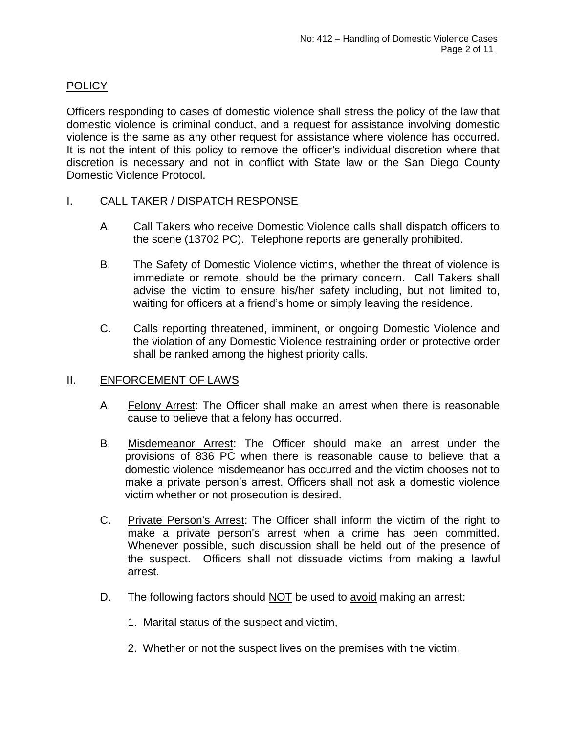# **POLICY**

Officers responding to cases of domestic violence shall stress the policy of the law that domestic violence is criminal conduct, and a request for assistance involving domestic violence is the same as any other request for assistance where violence has occurred. It is not the intent of this policy to remove the officer's individual discretion where that discretion is necessary and not in conflict with State law or the San Diego County Domestic Violence Protocol.

- I. CALL TAKER / DISPATCH RESPONSE
	- A. Call Takers who receive Domestic Violence calls shall dispatch officers to the scene (13702 PC). Telephone reports are generally prohibited.
	- B. The Safety of Domestic Violence victims, whether the threat of violence is immediate or remote, should be the primary concern. Call Takers shall advise the victim to ensure his/her safety including, but not limited to, waiting for officers at a friend's home or simply leaving the residence.
	- C. Calls reporting threatened, imminent, or ongoing Domestic Violence and the violation of any Domestic Violence restraining order or protective order shall be ranked among the highest priority calls.

## II. ENFORCEMENT OF LAWS

- A. Felony Arrest: The Officer shall make an arrest when there is reasonable cause to believe that a felony has occurred.
- B. Misdemeanor Arrest: The Officer should make an arrest under the provisions of 836 PC when there is reasonable cause to believe that a domestic violence misdemeanor has occurred and the victim chooses not to make a private person's arrest. Officers shall not ask a domestic violence victim whether or not prosecution is desired.
- C. Private Person's Arrest: The Officer shall inform the victim of the right to make a private person's arrest when a crime has been committed. Whenever possible, such discussion shall be held out of the presence of the suspect. Officers shall not dissuade victims from making a lawful arrest.
- D. The following factors should NOT be used to avoid making an arrest:
	- 1. Marital status of the suspect and victim,
	- 2. Whether or not the suspect lives on the premises with the victim,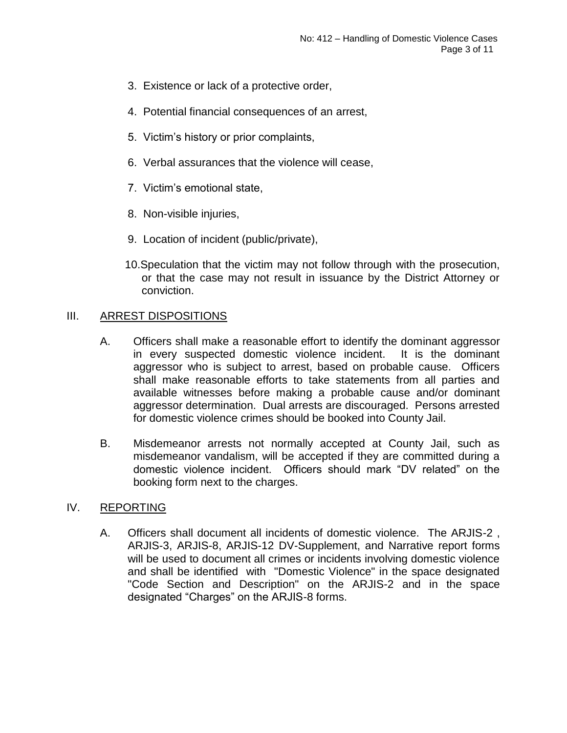- 3. Existence or lack of a protective order,
- 4. Potential financial consequences of an arrest,
- 5. Victim's history or prior complaints,
- 6. Verbal assurances that the violence will cease,
- 7. Victim's emotional state,
- 8. Non-visible injuries,
- 9. Location of incident (public/private),
- 10.Speculation that the victim may not follow through with the prosecution, or that the case may not result in issuance by the District Attorney or conviction.

## III. ARREST DISPOSITIONS

- A. Officers shall make a reasonable effort to identify the dominant aggressor in every suspected domestic violence incident. It is the dominant aggressor who is subject to arrest, based on probable cause. Officers shall make reasonable efforts to take statements from all parties and available witnesses before making a probable cause and/or dominant aggressor determination. Dual arrests are discouraged. Persons arrested for domestic violence crimes should be booked into County Jail.
- B. Misdemeanor arrests not normally accepted at County Jail, such as misdemeanor vandalism, will be accepted if they are committed during a domestic violence incident. Officers should mark "DV related" on the booking form next to the charges.

## IV. REPORTING

A. Officers shall document all incidents of domestic violence. The ARJIS-2 , ARJIS-3, ARJIS-8, ARJIS-12 DV-Supplement, and Narrative report forms will be used to document all crimes or incidents involving domestic violence and shall be identified with "Domestic Violence" in the space designated "Code Section and Description" on the ARJIS-2 and in the space designated "Charges" on the ARJIS-8 forms.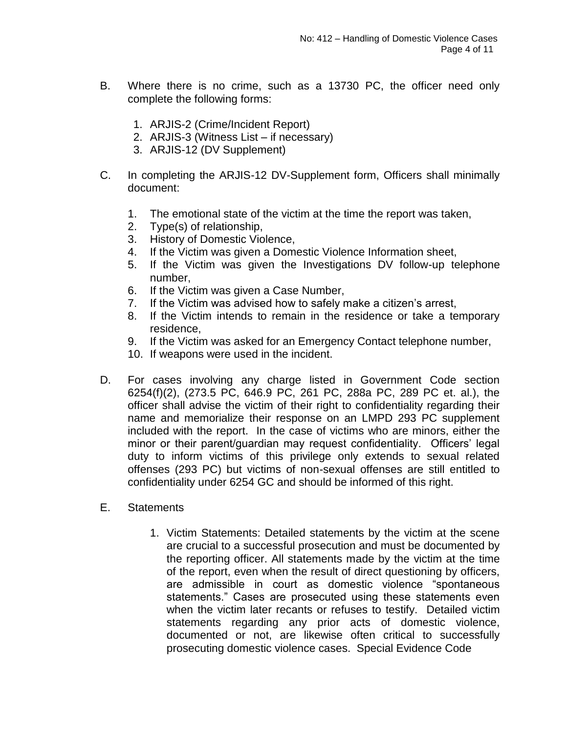- B. Where there is no crime, such as a 13730 PC, the officer need only complete the following forms:
	- 1. ARJIS-2 (Crime/Incident Report)
	- 2. ARJIS-3 (Witness List if necessary)
	- 3. ARJIS-12 (DV Supplement)
- C. In completing the ARJIS-12 DV-Supplement form, Officers shall minimally document:
	- 1. The emotional state of the victim at the time the report was taken,
	- 2. Type(s) of relationship,
	- 3. History of Domestic Violence,
	- 4. If the Victim was given a Domestic Violence Information sheet,
	- 5. If the Victim was given the Investigations DV follow-up telephone number,
	- 6. If the Victim was given a Case Number,
	- 7. If the Victim was advised how to safely make a citizen's arrest,
	- 8. If the Victim intends to remain in the residence or take a temporary residence,
	- 9. If the Victim was asked for an Emergency Contact telephone number,
	- 10. If weapons were used in the incident.
- D. For cases involving any charge listed in Government Code section 6254(f)(2), (273.5 PC, 646.9 PC, 261 PC, 288a PC, 289 PC et. al.), the officer shall advise the victim of their right to confidentiality regarding their name and memorialize their response on an LMPD 293 PC supplement included with the report. In the case of victims who are minors, either the minor or their parent/guardian may request confidentiality. Officers' legal duty to inform victims of this privilege only extends to sexual related offenses (293 PC) but victims of non-sexual offenses are still entitled to confidentiality under 6254 GC and should be informed of this right.
- E. Statements
	- 1. Victim Statements: Detailed statements by the victim at the scene are crucial to a successful prosecution and must be documented by the reporting officer. All statements made by the victim at the time of the report, even when the result of direct questioning by officers, are admissible in court as domestic violence "spontaneous statements." Cases are prosecuted using these statements even when the victim later recants or refuses to testify. Detailed victim statements regarding any prior acts of domestic violence, documented or not, are likewise often critical to successfully prosecuting domestic violence cases. Special Evidence Code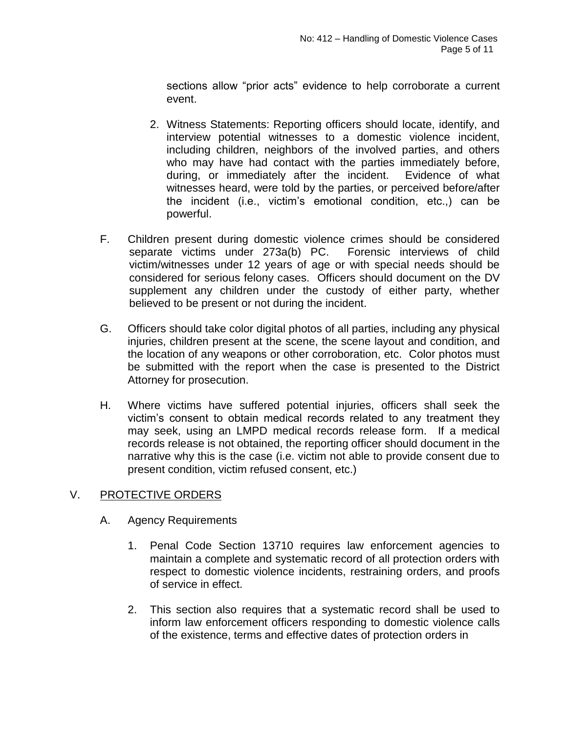sections allow "prior acts" evidence to help corroborate a current event.

- 2. Witness Statements: Reporting officers should locate, identify, and interview potential witnesses to a domestic violence incident, including children, neighbors of the involved parties, and others who may have had contact with the parties immediately before, during, or immediately after the incident. Evidence of what witnesses heard, were told by the parties, or perceived before/after the incident (i.e., victim's emotional condition, etc.,) can be powerful.
- F. Children present during domestic violence crimes should be considered separate victims under 273a(b) PC. Forensic interviews of child victim/witnesses under 12 years of age or with special needs should be considered for serious felony cases. Officers should document on the DV supplement any children under the custody of either party, whether believed to be present or not during the incident.
- G. Officers should take color digital photos of all parties, including any physical injuries, children present at the scene, the scene layout and condition, and the location of any weapons or other corroboration, etc. Color photos must be submitted with the report when the case is presented to the District Attorney for prosecution.
- H. Where victims have suffered potential injuries, officers shall seek the victim's consent to obtain medical records related to any treatment they may seek, using an LMPD medical records release form. If a medical records release is not obtained, the reporting officer should document in the narrative why this is the case (i.e. victim not able to provide consent due to present condition, victim refused consent, etc.)

## V. PROTECTIVE ORDERS

- A. Agency Requirements
	- 1. Penal Code Section 13710 requires law enforcement agencies to maintain a complete and systematic record of all protection orders with respect to domestic violence incidents, restraining orders, and proofs of service in effect.
	- 2. This section also requires that a systematic record shall be used to inform law enforcement officers responding to domestic violence calls of the existence, terms and effective dates of protection orders in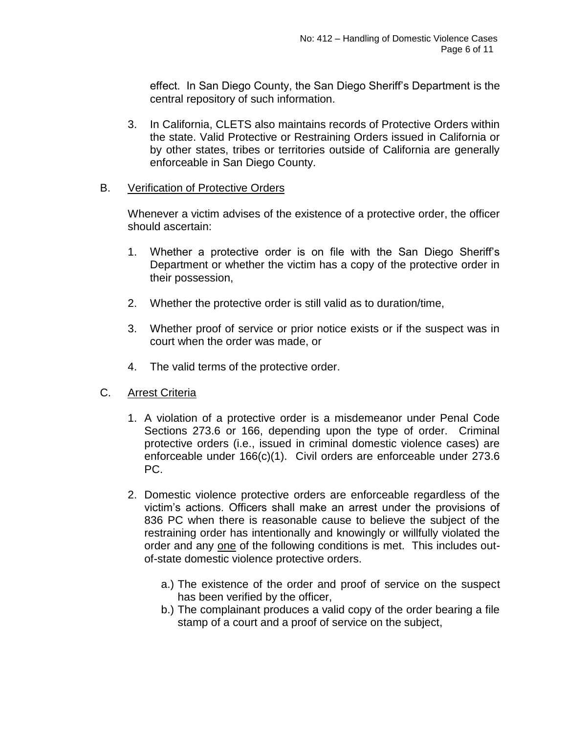effect. In San Diego County, the San Diego Sheriff's Department is the central repository of such information.

3. In California, CLETS also maintains records of Protective Orders within the state. Valid Protective or Restraining Orders issued in California or by other states, tribes or territories outside of California are generally enforceable in San Diego County.

### B. Verification of Protective Orders

Whenever a victim advises of the existence of a protective order, the officer should ascertain:

- 1. Whether a protective order is on file with the San Diego Sheriff's Department or whether the victim has a copy of the protective order in their possession,
- 2. Whether the protective order is still valid as to duration/time,
- 3. Whether proof of service or prior notice exists or if the suspect was in court when the order was made, or
- 4. The valid terms of the protective order.

## C. Arrest Criteria

- 1. A violation of a protective order is a misdemeanor under Penal Code Sections 273.6 or 166, depending upon the type of order. Criminal protective orders (i.e., issued in criminal domestic violence cases) are enforceable under 166(c)(1). Civil orders are enforceable under 273.6 PC.
- 2. Domestic violence protective orders are enforceable regardless of the victim's actions. Officers shall make an arrest under the provisions of 836 PC when there is reasonable cause to believe the subject of the restraining order has intentionally and knowingly or willfully violated the order and any one of the following conditions is met. This includes outof-state domestic violence protective orders.
	- a.) The existence of the order and proof of service on the suspect has been verified by the officer,
	- b.) The complainant produces a valid copy of the order bearing a file stamp of a court and a proof of service on the subject,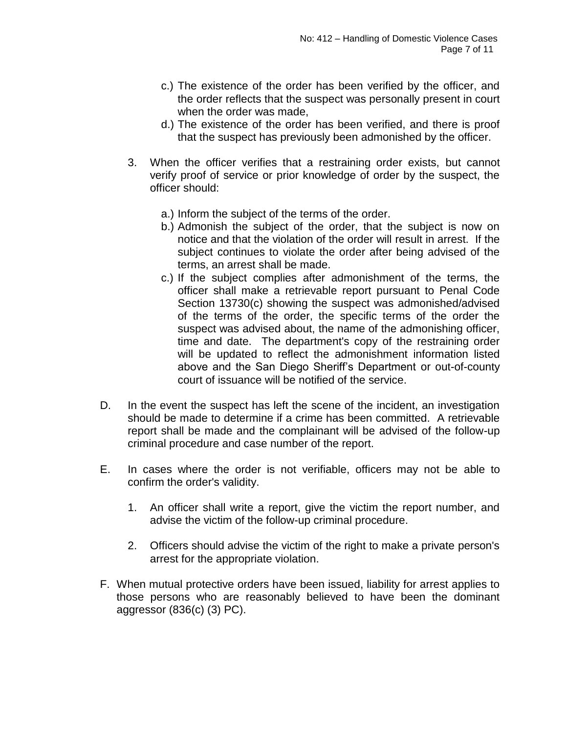- c.) The existence of the order has been verified by the officer, and the order reflects that the suspect was personally present in court when the order was made,
- d.) The existence of the order has been verified, and there is proof that the suspect has previously been admonished by the officer.
- 3. When the officer verifies that a restraining order exists, but cannot verify proof of service or prior knowledge of order by the suspect, the officer should:
	- a.) Inform the subject of the terms of the order.
	- b.) Admonish the subject of the order, that the subject is now on notice and that the violation of the order will result in arrest. If the subject continues to violate the order after being advised of the terms, an arrest shall be made.
	- c.) If the subject complies after admonishment of the terms, the officer shall make a retrievable report pursuant to Penal Code Section 13730(c) showing the suspect was admonished/advised of the terms of the order, the specific terms of the order the suspect was advised about, the name of the admonishing officer, time and date. The department's copy of the restraining order will be updated to reflect the admonishment information listed above and the San Diego Sheriff's Department or out-of-county court of issuance will be notified of the service.
- D. In the event the suspect has left the scene of the incident, an investigation should be made to determine if a crime has been committed. A retrievable report shall be made and the complainant will be advised of the follow-up criminal procedure and case number of the report.
- E. In cases where the order is not verifiable, officers may not be able to confirm the order's validity.
	- 1. An officer shall write a report, give the victim the report number, and advise the victim of the follow-up criminal procedure.
	- 2. Officers should advise the victim of the right to make a private person's arrest for the appropriate violation.
- F. When mutual protective orders have been issued, liability for arrest applies to those persons who are reasonably believed to have been the dominant aggressor (836(c) (3) PC).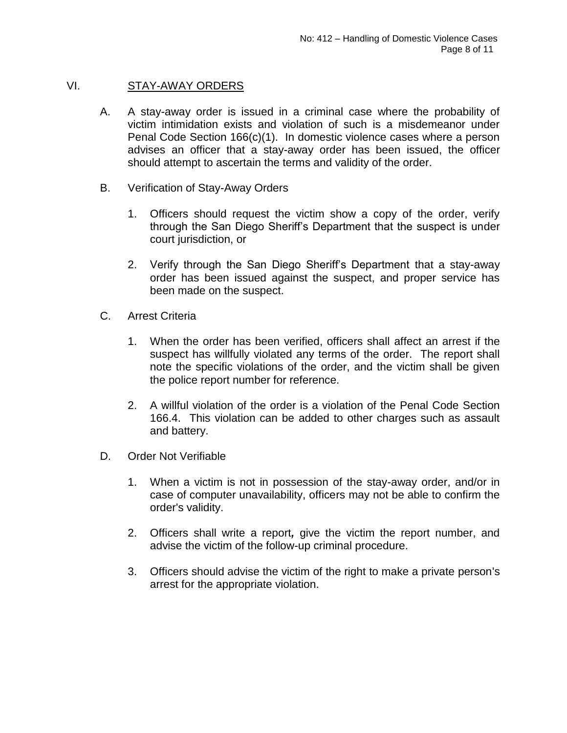## VI. STAY-AWAY ORDERS

- A. A stay-away order is issued in a criminal case where the probability of victim intimidation exists and violation of such is a misdemeanor under Penal Code Section 166(c)(1). In domestic violence cases where a person advises an officer that a stay-away order has been issued, the officer should attempt to ascertain the terms and validity of the order.
- B. Verification of Stay-Away Orders
	- 1. Officers should request the victim show a copy of the order, verify through the San Diego Sheriff's Department that the suspect is under court jurisdiction, or
	- 2. Verify through the San Diego Sheriff's Department that a stay-away order has been issued against the suspect, and proper service has been made on the suspect.
- C. Arrest Criteria
	- 1. When the order has been verified, officers shall affect an arrest if the suspect has willfully violated any terms of the order. The report shall note the specific violations of the order, and the victim shall be given the police report number for reference.
	- 2. A willful violation of the order is a violation of the Penal Code Section 166.4. This violation can be added to other charges such as assault and battery.
- D. Order Not Verifiable
	- 1. When a victim is not in possession of the stay-away order, and/or in case of computer unavailability, officers may not be able to confirm the order's validity.
	- 2. Officers shall write a report*,* give the victim the report number, and advise the victim of the follow-up criminal procedure.
	- 3. Officers should advise the victim of the right to make a private person's arrest for the appropriate violation.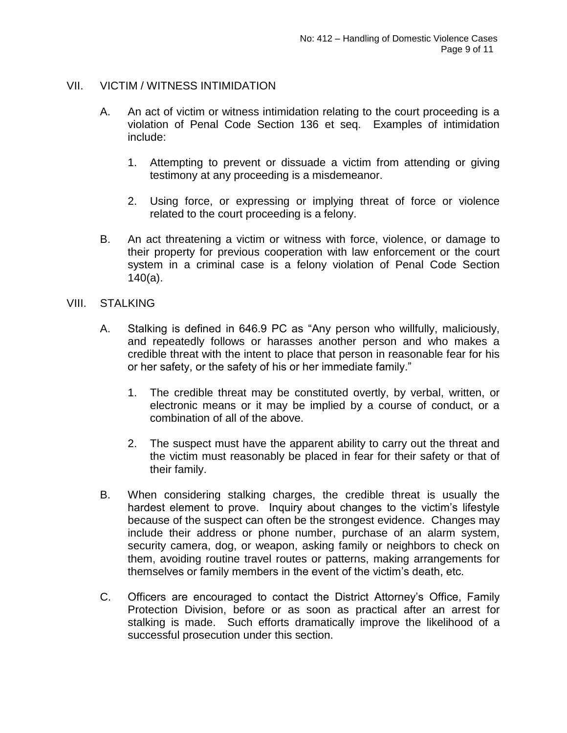### VII. VICTIM / WITNESS INTIMIDATION

- A. An act of victim or witness intimidation relating to the court proceeding is a violation of Penal Code Section 136 et seq. Examples of intimidation include:
	- 1. Attempting to prevent or dissuade a victim from attending or giving testimony at any proceeding is a misdemeanor.
	- 2. Using force, or expressing or implying threat of force or violence related to the court proceeding is a felony.
- B. An act threatening a victim or witness with force, violence, or damage to their property for previous cooperation with law enforcement or the court system in a criminal case is a felony violation of Penal Code Section 140(a).

### VIII. STALKING

- A. Stalking is defined in 646.9 PC as "Any person who willfully, maliciously, and repeatedly follows or harasses another person and who makes a credible threat with the intent to place that person in reasonable fear for his or her safety, or the safety of his or her immediate family."
	- 1. The credible threat may be constituted overtly, by verbal, written, or electronic means or it may be implied by a course of conduct, or a combination of all of the above.
	- 2. The suspect must have the apparent ability to carry out the threat and the victim must reasonably be placed in fear for their safety or that of their family.
- B. When considering stalking charges, the credible threat is usually the hardest element to prove. Inquiry about changes to the victim's lifestyle because of the suspect can often be the strongest evidence. Changes may include their address or phone number, purchase of an alarm system, security camera, dog, or weapon, asking family or neighbors to check on them, avoiding routine travel routes or patterns, making arrangements for themselves or family members in the event of the victim's death, etc.
- C. Officers are encouraged to contact the District Attorney's Office, Family Protection Division, before or as soon as practical after an arrest for stalking is made. Such efforts dramatically improve the likelihood of a successful prosecution under this section.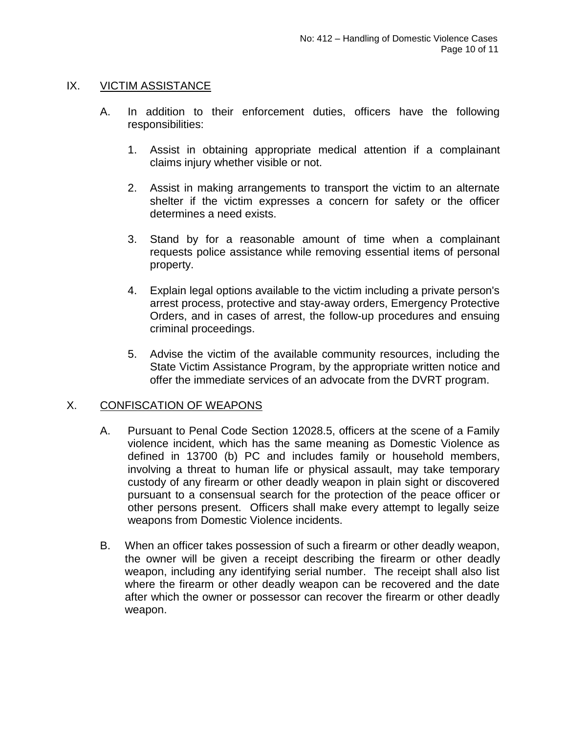## IX. VICTIM ASSISTANCE

- A. In addition to their enforcement duties, officers have the following responsibilities:
	- 1. Assist in obtaining appropriate medical attention if a complainant claims injury whether visible or not.
	- 2. Assist in making arrangements to transport the victim to an alternate shelter if the victim expresses a concern for safety or the officer determines a need exists.
	- 3. Stand by for a reasonable amount of time when a complainant requests police assistance while removing essential items of personal property.
	- 4. Explain legal options available to the victim including a private person's arrest process, protective and stay-away orders, Emergency Protective Orders, and in cases of arrest, the follow-up procedures and ensuing criminal proceedings.
	- 5. Advise the victim of the available community resources, including the State Victim Assistance Program, by the appropriate written notice and offer the immediate services of an advocate from the DVRT program.

## X. CONFISCATION OF WEAPONS

- A. Pursuant to Penal Code Section 12028.5, officers at the scene of a Family violence incident, which has the same meaning as Domestic Violence as defined in 13700 (b) PC and includes family or household members, involving a threat to human life or physical assault, may take temporary custody of any firearm or other deadly weapon in plain sight or discovered pursuant to a consensual search for the protection of the peace officer or other persons present. Officers shall make every attempt to legally seize weapons from Domestic Violence incidents.
- B. When an officer takes possession of such a firearm or other deadly weapon, the owner will be given a receipt describing the firearm or other deadly weapon, including any identifying serial number. The receipt shall also list where the firearm or other deadly weapon can be recovered and the date after which the owner or possessor can recover the firearm or other deadly weapon.